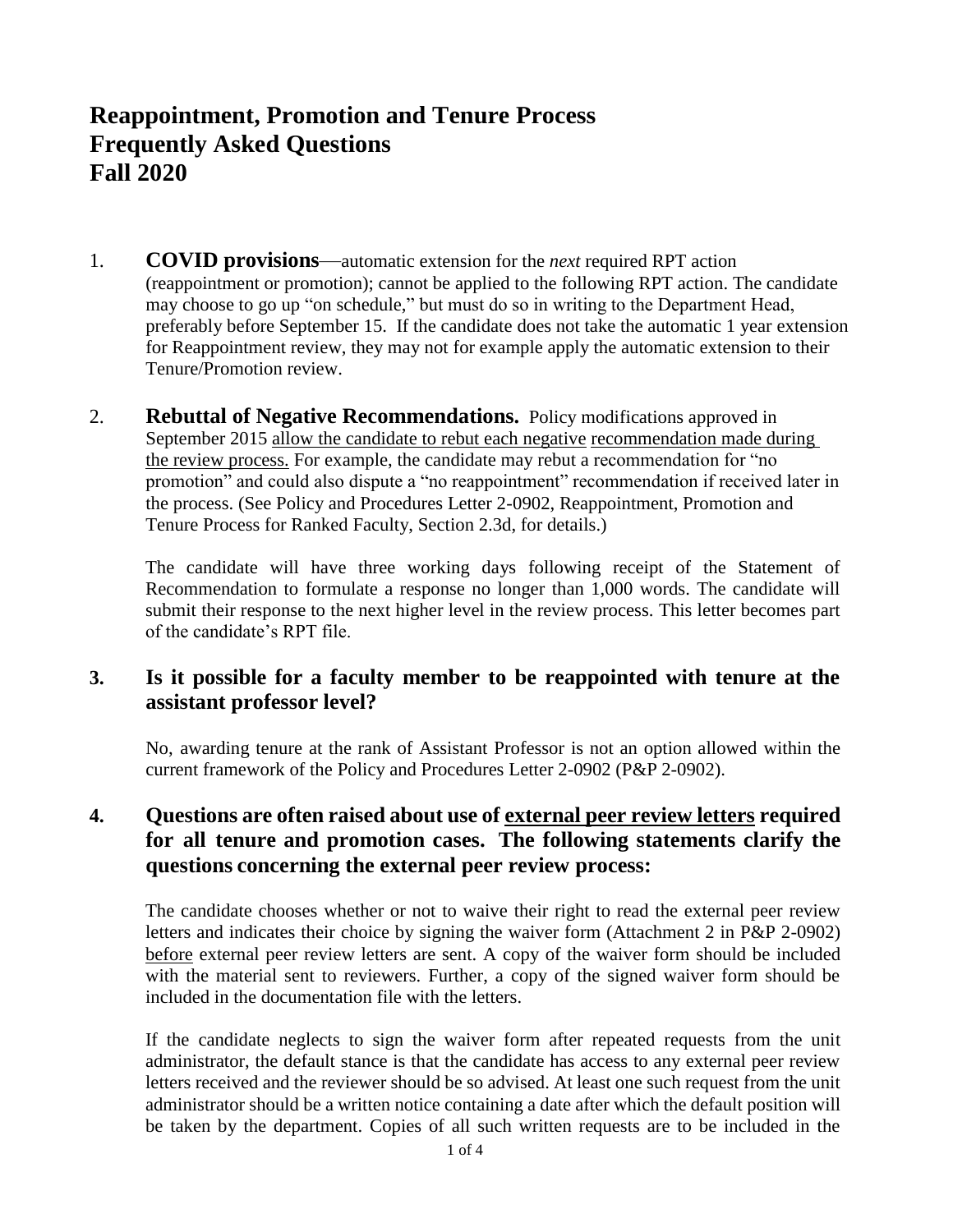# **Reappointment, Promotion and Tenure Process Frequently Asked Questions Fall 2020**

- 1. **COVID provisions**—automatic extension for the *next* required RPT action (reappointment or promotion); cannot be applied to the following RPT action. The candidate may choose to go up "on schedule," but must do so in writing to the Department Head, preferably before September 15. If the candidate does not take the automatic 1 year extension for Reappointment review, they may not for example apply the automatic extension to their Tenure/Promotion review.
- 2. **Rebuttal of Negative Recommendations.** Policy modifications approved in September 2015 allow the candidate to rebut each negative recommendation made during the review process. For example, the candidate may rebut a recommendation for "no promotion" and could also dispute a "no reappointment" recommendation if received later in the process. (See Policy and Procedures Letter 2-0902, Reappointment, Promotion and Tenure Process for Ranked Faculty, Section 2.3d, for details.)

The candidate will have three working days following receipt of the Statement of Recommendation to formulate a response no longer than 1,000 words. The candidate will submit their response to the next higher level in the review process. This letter becomes part of the candidate's RPT file.

#### **3. Is it possible for a faculty member to be reappointed with tenure at the assistant professor level?**

No, awarding tenure at the rank of Assistant Professor is not an option allowed within the current framework of the Policy and Procedures Letter 2-0902 (P&P 2-0902).

# **4. Questions are often raised about use of external peer review letters required for all tenure and promotion cases. The following statements clarify the questions concerning the external peer review process:**

The candidate chooses whether or not to waive their right to read the external peer review letters and indicates their choice by signing the waiver form (Attachment 2 in P&P 2-0902) before external peer review letters are sent. A copy of the waiver form should be included with the material sent to reviewers. Further, a copy of the signed waiver form should be included in the documentation file with the letters.

If the candidate neglects to sign the waiver form after repeated requests from the unit administrator, the default stance is that the candidate has access to any external peer review letters received and the reviewer should be so advised. At least one such request from the unit administrator should be a written notice containing a date after which the default position will be taken by the department. Copies of all such written requests are to be included in the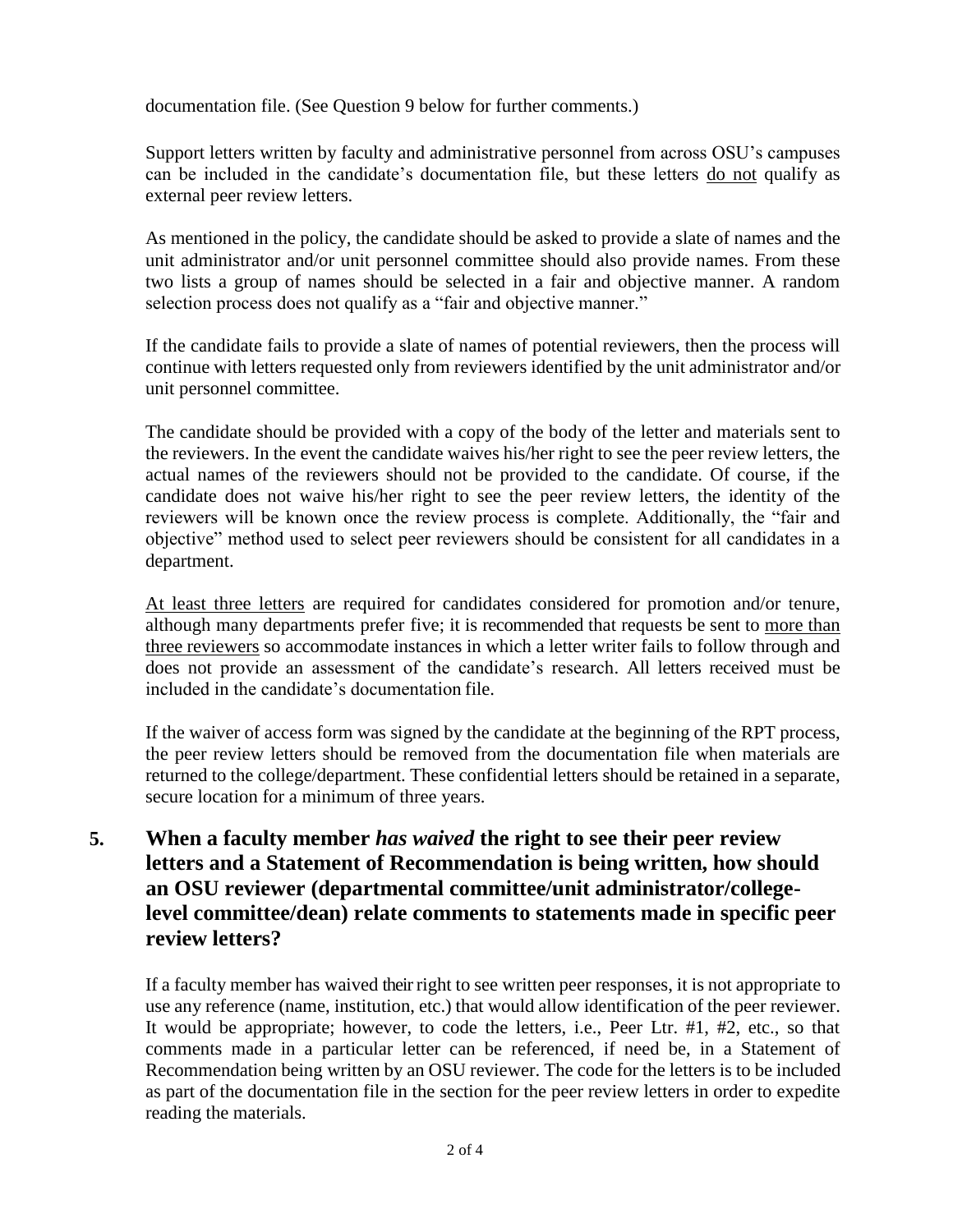documentation file. (See Question 9 below for further comments.)

Support letters written by faculty and administrative personnel from across OSU's campuses can be included in the candidate's documentation file, but these letters do not qualify as external peer review letters.

As mentioned in the policy, the candidate should be asked to provide a slate of names and the unit administrator and/or unit personnel committee should also provide names. From these two lists a group of names should be selected in a fair and objective manner. A random selection process does not qualify as a "fair and objective manner."

If the candidate fails to provide a slate of names of potential reviewers, then the process will continue with letters requested only from reviewers identified by the unit administrator and/or unit personnel committee.

The candidate should be provided with a copy of the body of the letter and materials sent to the reviewers. In the event the candidate waives his/her right to see the peer review letters, the actual names of the reviewers should not be provided to the candidate. Of course, if the candidate does not waive his/her right to see the peer review letters, the identity of the reviewers will be known once the review process is complete. Additionally, the "fair and objective" method used to select peer reviewers should be consistent for all candidates in a department.

At least three letters are required for candidates considered for promotion and/or tenure, although many departments prefer five; it is recommended that requests be sent to more than three reviewers so accommodate instances in which a letter writer fails to follow through and does not provide an assessment of the candidate's research. All letters received must be included in the candidate's documentation file.

If the waiver of access form was signed by the candidate at the beginning of the RPT process, the peer review letters should be removed from the documentation file when materials are returned to the college/department. These confidential letters should be retained in a separate, secure location for a minimum of three years.

# **5. When a faculty member** *has waived* **the right to see their peer review letters and a Statement of Recommendation is being written, how should an OSU reviewer (departmental committee/unit administrator/collegelevel committee/dean) relate comments to statements made in specific peer review letters?**

If a faculty member has waived their right to see written peer responses, it is not appropriate to use any reference (name, institution, etc.) that would allow identification of the peer reviewer. It would be appropriate; however, to code the letters, i.e., Peer Ltr. #1, #2, etc., so that comments made in a particular letter can be referenced, if need be, in a Statement of Recommendation being written by an OSU reviewer. The code for the letters is to be included as part of the documentation file in the section for the peer review letters in order to expedite reading the materials.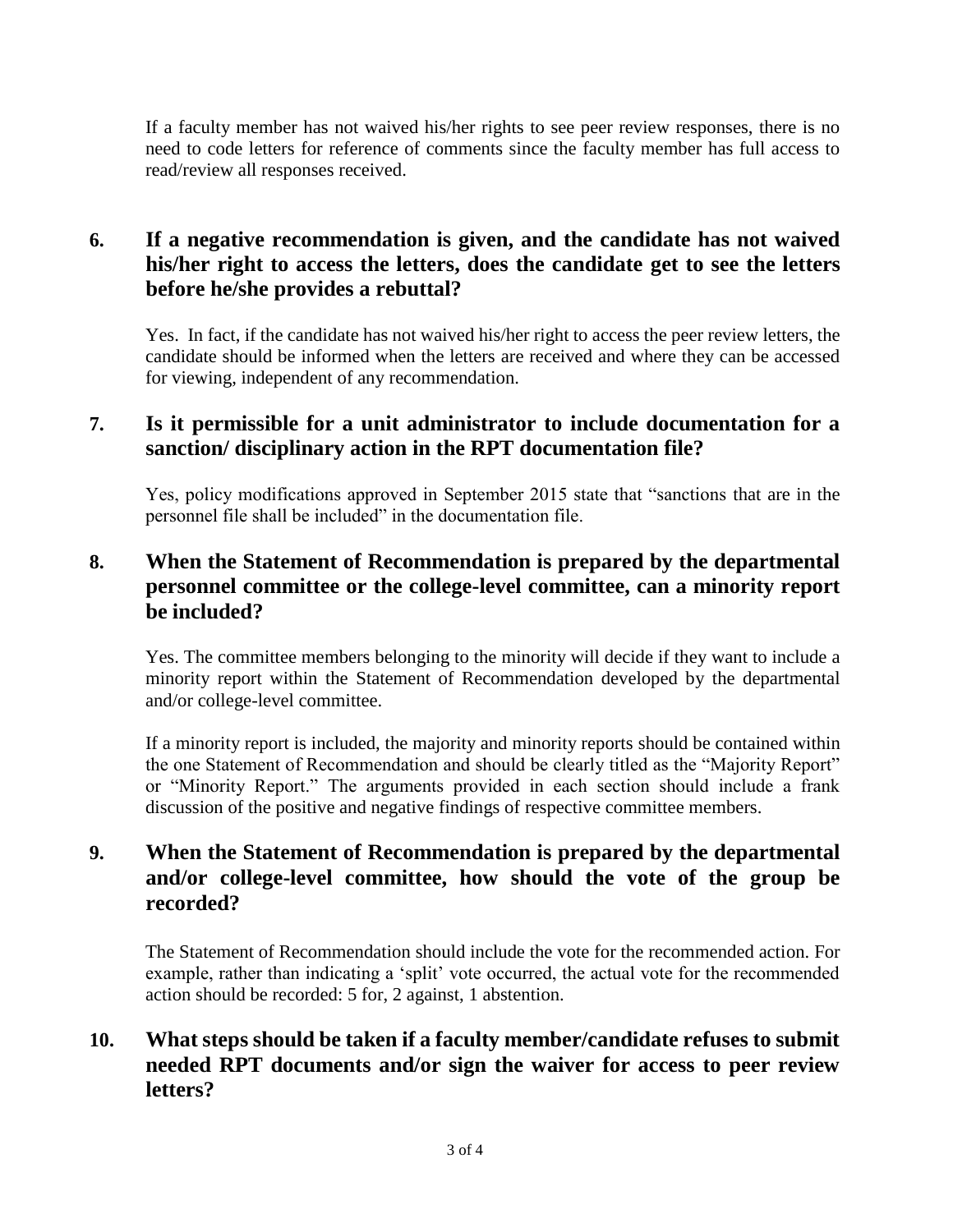If a faculty member has not waived his/her rights to see peer review responses, there is no need to code letters for reference of comments since the faculty member has full access to read/review all responses received.

# **6. If a negative recommendation is given, and the candidate has not waived his/her right to access the letters, does the candidate get to see the letters before he/she provides a rebuttal?**

Yes. In fact, if the candidate has not waived his/her right to access the peer review letters, the candidate should be informed when the letters are received and where they can be accessed for viewing, independent of any recommendation.

## **7. Is it permissible for a unit administrator to include documentation for a sanction/ disciplinary action in the RPT documentation file?**

Yes, policy modifications approved in September 2015 state that "sanctions that are in the personnel file shall be included" in the documentation file.

## **8. When the Statement of Recommendation is prepared by the departmental personnel committee or the college-level committee, can a minority report be included?**

Yes. The committee members belonging to the minority will decide if they want to include a minority report within the Statement of Recommendation developed by the departmental and/or college-level committee.

If a minority report is included, the majority and minority reports should be contained within the one Statement of Recommendation and should be clearly titled as the "Majority Report" or "Minority Report." The arguments provided in each section should include a frank discussion of the positive and negative findings of respective committee members.

# **9. When the Statement of Recommendation is prepared by the departmental and/or college-level committee, how should the vote of the group be recorded?**

The Statement of Recommendation should include the vote for the recommended action. For example, rather than indicating a 'split' vote occurred, the actual vote for the recommended action should be recorded: 5 for, 2 against, 1 abstention.

# **10. What steps should be taken if a faculty member/candidate refuses to submit needed RPT documents and/or sign the waiver for access to peer review letters?**